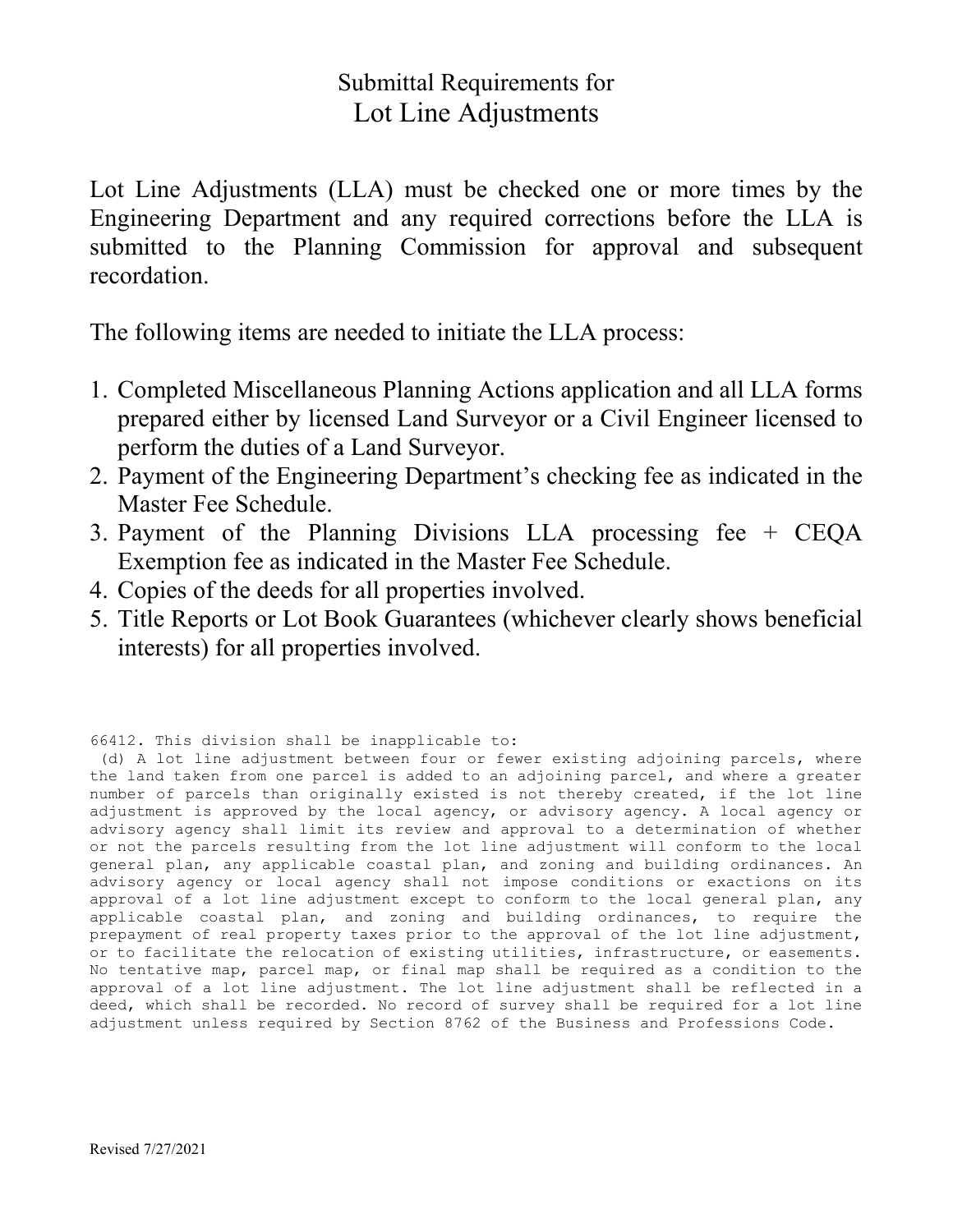### Submittal Requirements for Lot Line Adjustments

Lot Line Adjustments (LLA) must be checked one or more times by the Engineering Department and any required corrections before the LLA is submitted to the Planning Commission for approval and subsequent recordation.

The following items are needed to initiate the LLA process:

- 1. Completed Miscellaneous Planning Actions application and all LLA forms prepared either by licensed Land Surveyor or a Civil Engineer licensed to perform the duties of a Land Surveyor.
- 2. Payment of the Engineering Department's checking fee as indicated in the Master Fee Schedule.
- 3. Payment of the Planning Divisions LLA processing fee + CEQA Exemption fee as indicated in the Master Fee Schedule.
- 4. Copies of the deeds for all properties involved.
- 5. Title Reports or Lot Book Guarantees (whichever clearly shows beneficial interests) for all properties involved.

66412. This division shall be inapplicable to:

(d) A lot line adjustment between four or fewer existing adjoining parcels, where the land taken from one parcel is added to an adjoining parcel, and where a greater number of parcels than originally existed is not thereby created, if the lot line adjustment is approved by the local agency, or advisory agency. A local agency or advisory agency shall limit its review and approval to a determination of whether or not the parcels resulting from the lot line adjustment will conform to the local general plan, any applicable coastal plan, and zoning and building ordinances. An advisory agency or local agency shall not impose conditions or exactions on its approval of a lot line adjustment except to conform to the local general plan, any applicable coastal plan, and zoning and building ordinances, to require the prepayment of real property taxes prior to the approval of the lot line adjustment, or to facilitate the relocation of existing utilities, infrastructure, or easements. No tentative map, parcel map, or final map shall be required as a condition to the approval of a lot line adjustment. The lot line adjustment shall be reflected in a deed, which shall be recorded. No record of survey shall be required for a lot line adjustment unless required by Section 8762 of the Business and Professions Code.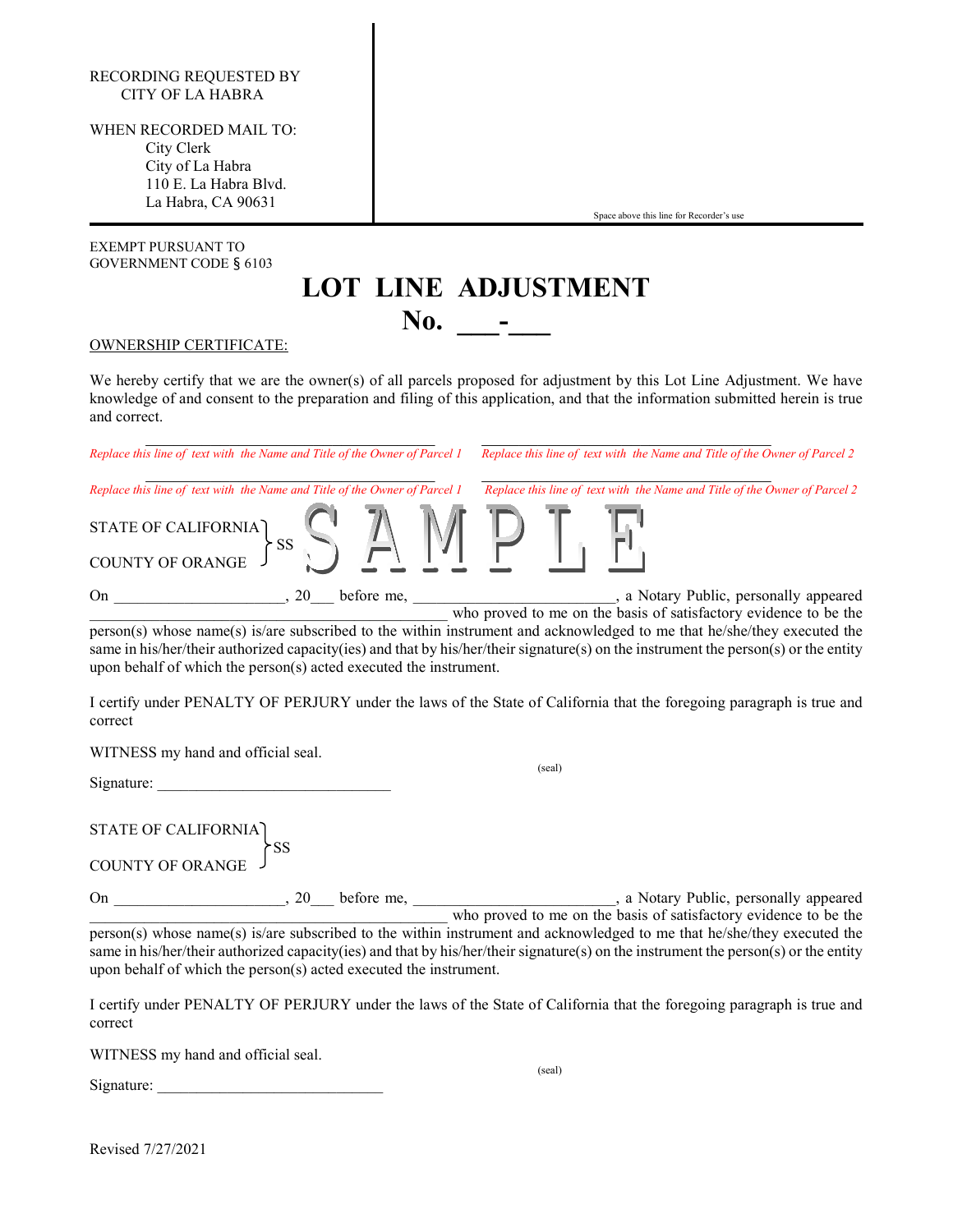### RECORDING REQUESTED BY CITY OF LA HABRA

WHEN RECORDED MAIL TO: City Clerk City of La Habra 110 E. La Habra Blvd. La Habra, CA 90631

EXEMPT PURSUANT TO GOVERNMENT CODE § 6103

**LOT LINE ADJUSTMENT**

Space above this line for Recorder's use

#### OWNERSHIP CERTIFICATE:

We hereby certify that we are the owner(s) of all parcels proposed for adjustment by this Lot Line Adjustment. We have knowledge of and consent to the preparation and filing of this application, and that the information submitted herein is true and correct.

**No.** –

\_\_\_\_\_\_\_\_\_\_\_\_\_\_\_\_\_\_\_\_\_\_\_\_\_\_\_\_\_\_\_ \_\_\_\_\_\_\_\_\_\_\_\_\_\_\_\_\_\_\_\_\_\_\_\_\_\_\_\_\_\_\_ *Replace this line of text with the Name and Title of the Owner of Parcel 1 Replace this line of text with the Name and Title of the Owner of Parcel 2 Replace this line of text with the Name and Title of the Owner of Parcel 1 Replace this line of text with the Name and Title of the Owner of Parcel 2* STATE OF CALIFORNIA  $\overleftrightarrow{SS}$ COUNTY OF ORANGE On \_\_\_\_\_\_\_\_\_\_\_\_\_\_\_\_\_\_, 20\_\_\_ before me, \_\_\_\_\_\_\_\_\_\_\_\_\_\_\_\_\_\_\_\_\_\_\_, a Notary Public, personally appeared who proved to me on the basis of satisfactory evidence to be the

person(s) whose name(s) is/are subscribed to the within instrument and acknowledged to me that he/she/they executed the same in his/her/their authorized capacity(ies) and that by his/her/their signature(s) on the instrument the person(s) or the entity upon behalf of which the person(s) acted executed the instrument.

I certify under PENALTY OF PERJURY under the laws of the State of California that the foregoing paragraph is true and correct

WITNESS my hand and official seal.

Signature:

STATE OF CALIFORNIA SS

COUNTY OF ORANGE

On \_\_\_\_\_\_\_\_\_\_\_\_\_\_\_\_, 20\_\_\_ before me, \_\_\_\_\_\_\_\_\_\_\_\_\_\_\_\_\_\_\_\_\_\_\_, a Notary Public, personally appeared who proved to me on the basis of satisfactory evidence to be the person(s) whose name(s) is/are subscribed to the within instrument and acknowledged to me that he/she/they executed the same in his/her/their authorized capacity(ies) and that by his/her/their signature(s) on the instrument the person(s) or the entity upon behalf of which the person(s) acted executed the instrument.

I certify under PENALTY OF PERJURY under the laws of the State of California that the foregoing paragraph is true and correct

WITNESS my hand and official seal.

(seal)

Signature:

Revised 7/27/2021

(seal)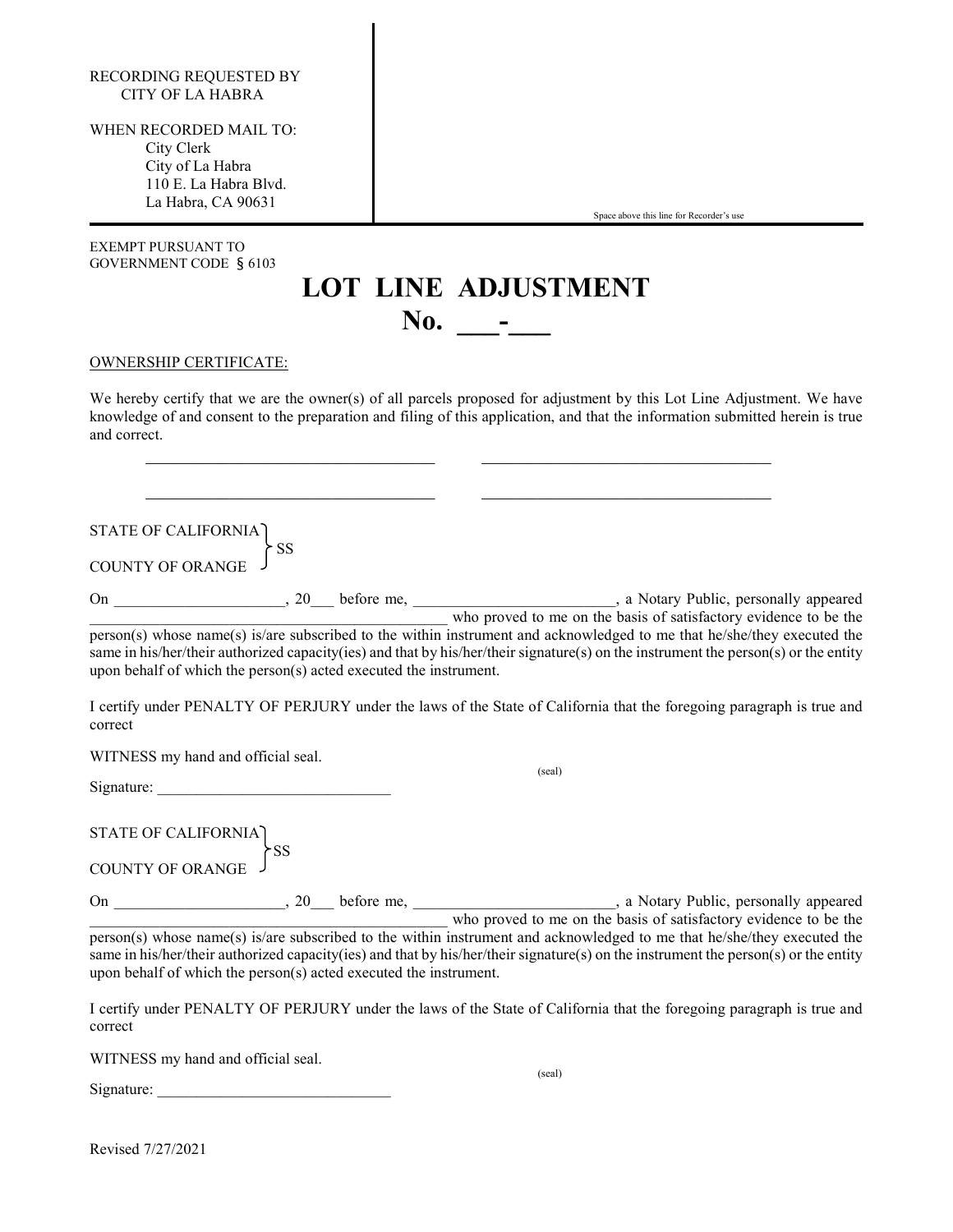| RECORDING REQUESTED BY |
|------------------------|
| CITY OF LA HABRA       |

WHEN RECORDED MAIL TO: City Clerk City of La Habra 110 E. La Habra Blvd. La Habra, CA 90631

| EXEMPT PURSUANT TO     |  |
|------------------------|--|
| GOVERNMENT CODE § 6103 |  |

Space above this line for Recorder's use

## **LOT LINE ADJUSTMENT No. \_\_\_-\_\_\_**

#### OWNERSHIP CERTIFICATE:

We hereby certify that we are the owner(s) of all parcels proposed for adjustment by this Lot Line Adjustment. We have knowledge of and consent to the preparation and filing of this application, and that the information submitted herein is true and correct.

\_\_\_\_\_\_\_\_\_\_\_\_\_\_\_\_\_\_\_\_\_\_\_\_\_\_\_\_\_\_\_ \_\_\_\_\_\_\_\_\_\_\_\_\_\_\_\_\_\_\_\_\_\_\_\_\_\_\_\_\_\_\_

\_\_\_\_\_\_\_\_\_\_\_\_\_\_\_\_\_\_\_\_\_\_\_\_\_\_\_\_\_\_\_ \_\_\_\_\_\_\_\_\_\_\_\_\_\_\_\_\_\_\_\_\_\_\_\_\_\_\_\_\_\_\_

STATE OF CALIFORNIA

COUNTY OF ORANGE

On 20 before me, 20 before me, 20 a Notary Public, personally appeared \_\_\_\_\_\_\_\_\_\_\_\_\_\_\_\_\_\_\_\_\_\_\_\_\_\_\_\_\_\_\_\_\_\_\_\_\_\_\_\_\_\_\_\_\_\_ who proved to me on the basis of satisfactory evidence to be the person(s) whose name(s) is/are subscribed to the within instrument and acknowledged to me that he/she/they executed the same in his/her/their authorized capacity(ies) and that by his/her/their signature(s) on the instrument the person(s) or the entity upon behalf of which the person(s) acted executed the instrument.

I certify under PENALTY OF PERJURY under the laws of the State of California that the foregoing paragraph is true and correct

WITNESS my hand and official seal.

Signature:

SS

STATE OF CALIFORNIA  $\overleftrightarrow{ss}$ 

COUNTY OF ORANGE

On 20 before me, 20 before me, 20 a Notary Public, personally appeared \_\_\_\_\_\_\_\_\_\_\_\_\_\_\_\_\_\_\_\_\_\_\_\_\_\_\_\_\_\_\_\_\_\_\_\_\_\_\_\_\_\_\_\_\_\_ who proved to me on the basis of satisfactory evidence to be the person(s) whose name(s) is/are subscribed to the within instrument and acknowledged to me that he/she/they executed the same in his/her/their authorized capacity(ies) and that by his/her/their signature(s) on the instrument the person(s) or the entity upon behalf of which the person(s) acted executed the instrument.

I certify under PENALTY OF PERJURY under the laws of the State of California that the foregoing paragraph is true and correct

WITNESS my hand and official seal.

Signature:

(seal)

(seal)

Revised 7/27/2021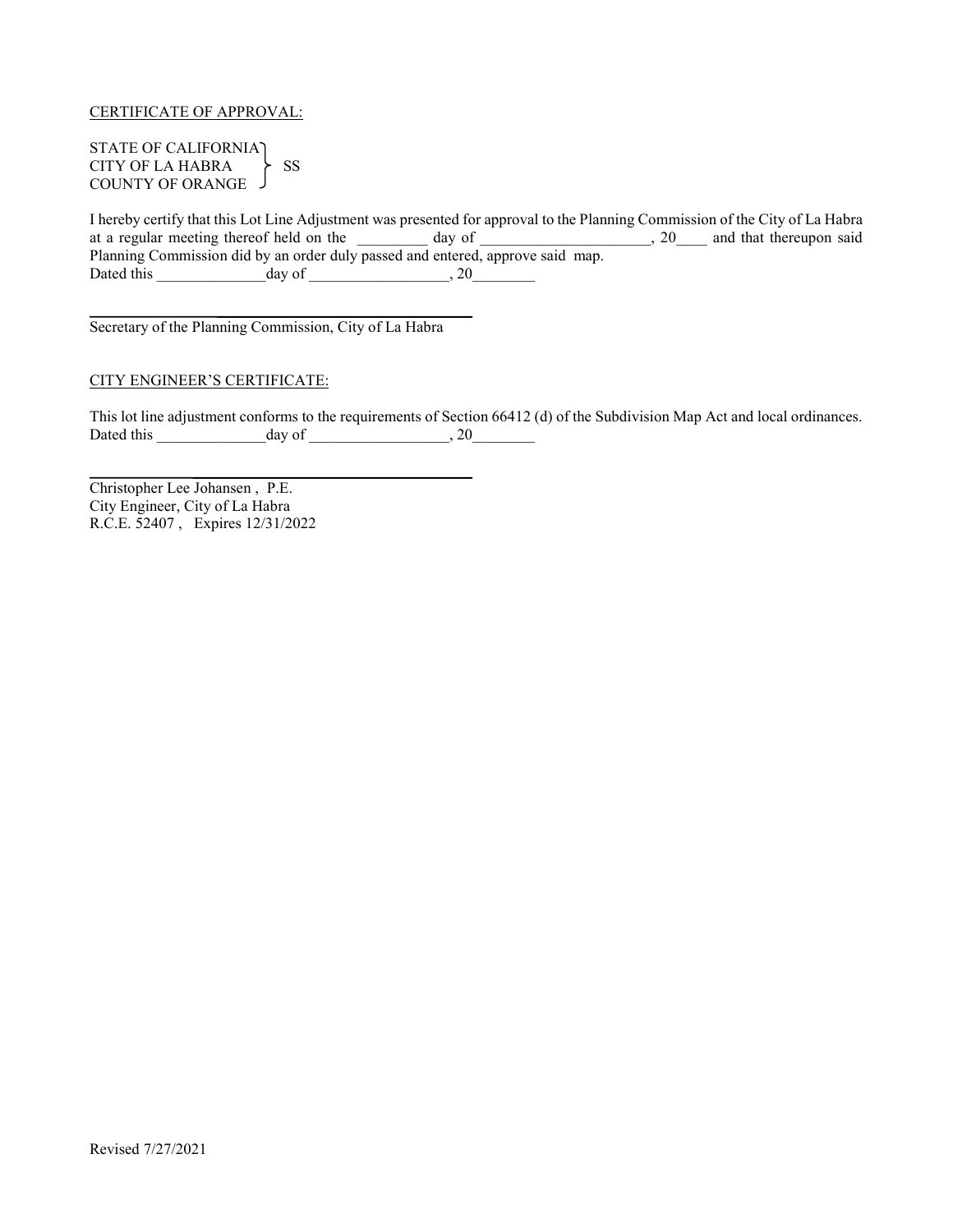CERTIFICATE OF APPROVAL:

STATE OF CALIFORNIA CITY OF LA HABRA > SS COUNTY OF ORANGE

I hereby certify that this Lot Line Adjustment was presented for approval to the Planning Commission of the City of La Habra at a regular meeting thereof held on the \_\_\_\_\_\_\_\_\_ day of \_\_\_\_\_\_\_\_\_\_\_\_\_\_\_\_\_\_, 20\_\_\_\_ and that thereupon said Planning Commission did by an order duly passed and entered, approve said map. Dated this  $\_\_\_\_\_\_\_\_\_\_\_\_\_\_\_\_\_$ 

Secretary of the Planning Commission, City of La Habra

### CITY ENGINEER'S CERTIFICATE:

This lot line adjustment conforms to the requirements of Section 66412 (d) of the Subdivision Map Act and local ordinances. Dated this \_\_\_\_\_\_\_\_\_\_\_\_\_\_day of \_\_\_\_\_\_\_\_\_\_\_\_\_\_\_\_\_\_, 20\_\_\_\_\_\_\_\_

Christopher Lee Johansen , P.E. City Engineer, City of La Habra R.C.E. 52407 , Expires 12/31/2022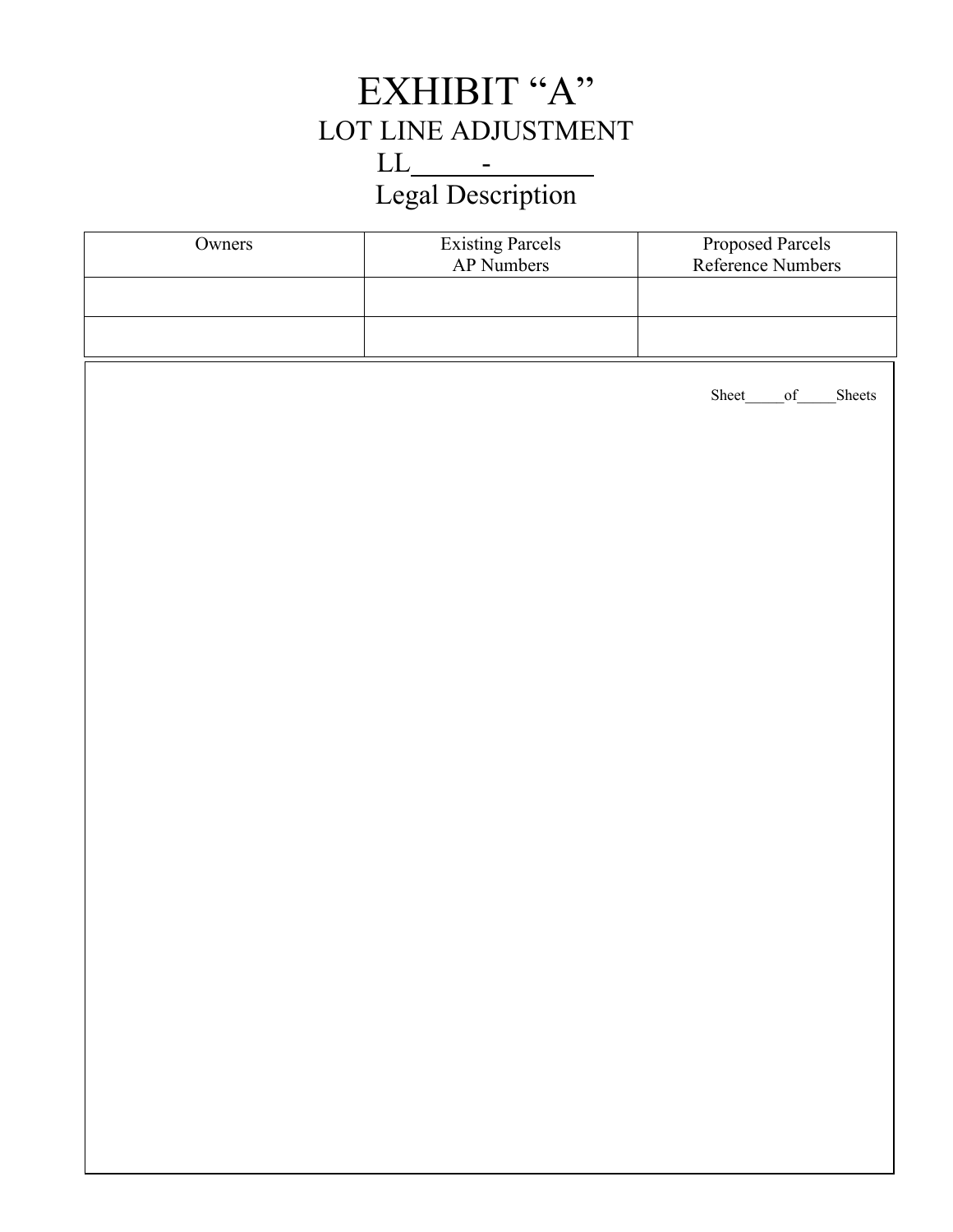# EXHIBIT "A" LOT LINE ADJUSTMENT  $LL$  -  $-$ Legal Description

| Owners | <b>Existing Parcels</b><br>AP Numbers | Proposed Parcels<br>Reference Numbers |
|--------|---------------------------------------|---------------------------------------|
|        |                                       |                                       |
|        |                                       |                                       |
|        |                                       | Sheet_<br>Sheets<br>of                |
|        |                                       |                                       |
|        |                                       |                                       |
|        |                                       |                                       |
|        |                                       |                                       |
|        |                                       |                                       |
|        |                                       |                                       |
|        |                                       |                                       |
|        |                                       |                                       |
|        |                                       |                                       |
|        |                                       |                                       |
|        |                                       |                                       |
|        |                                       |                                       |
|        |                                       |                                       |
|        |                                       |                                       |
|        |                                       |                                       |
|        |                                       |                                       |
|        |                                       |                                       |
|        |                                       |                                       |
|        |                                       |                                       |
|        |                                       |                                       |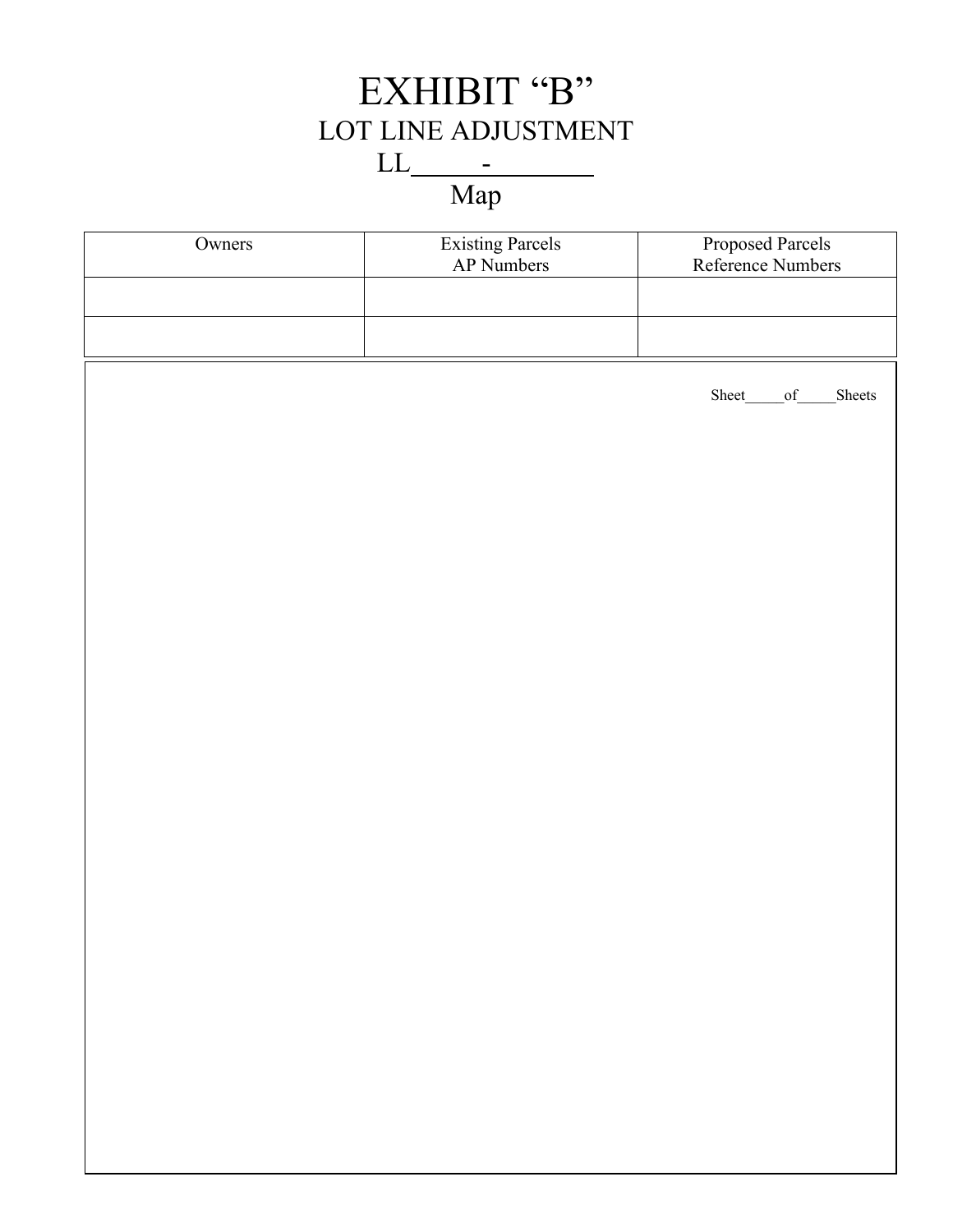# EXHIBIT "B" LOT LINE ADJUSTMENT  $LL$  -  $-$

Map

| Owners | Existing Parcels<br>AP Numbers | Proposed Parcels<br>Reference Numbers |
|--------|--------------------------------|---------------------------------------|
|        |                                |                                       |
|        |                                |                                       |
|        |                                | Sheet_<br>of<br>Sheets                |
|        |                                |                                       |
|        |                                |                                       |
|        |                                |                                       |
|        |                                |                                       |
|        |                                |                                       |
|        |                                |                                       |
|        |                                |                                       |
|        |                                |                                       |
|        |                                |                                       |
|        |                                |                                       |
|        |                                |                                       |
|        |                                |                                       |
|        |                                |                                       |
|        |                                |                                       |
|        |                                |                                       |
|        |                                |                                       |
|        |                                |                                       |
|        |                                |                                       |
|        |                                |                                       |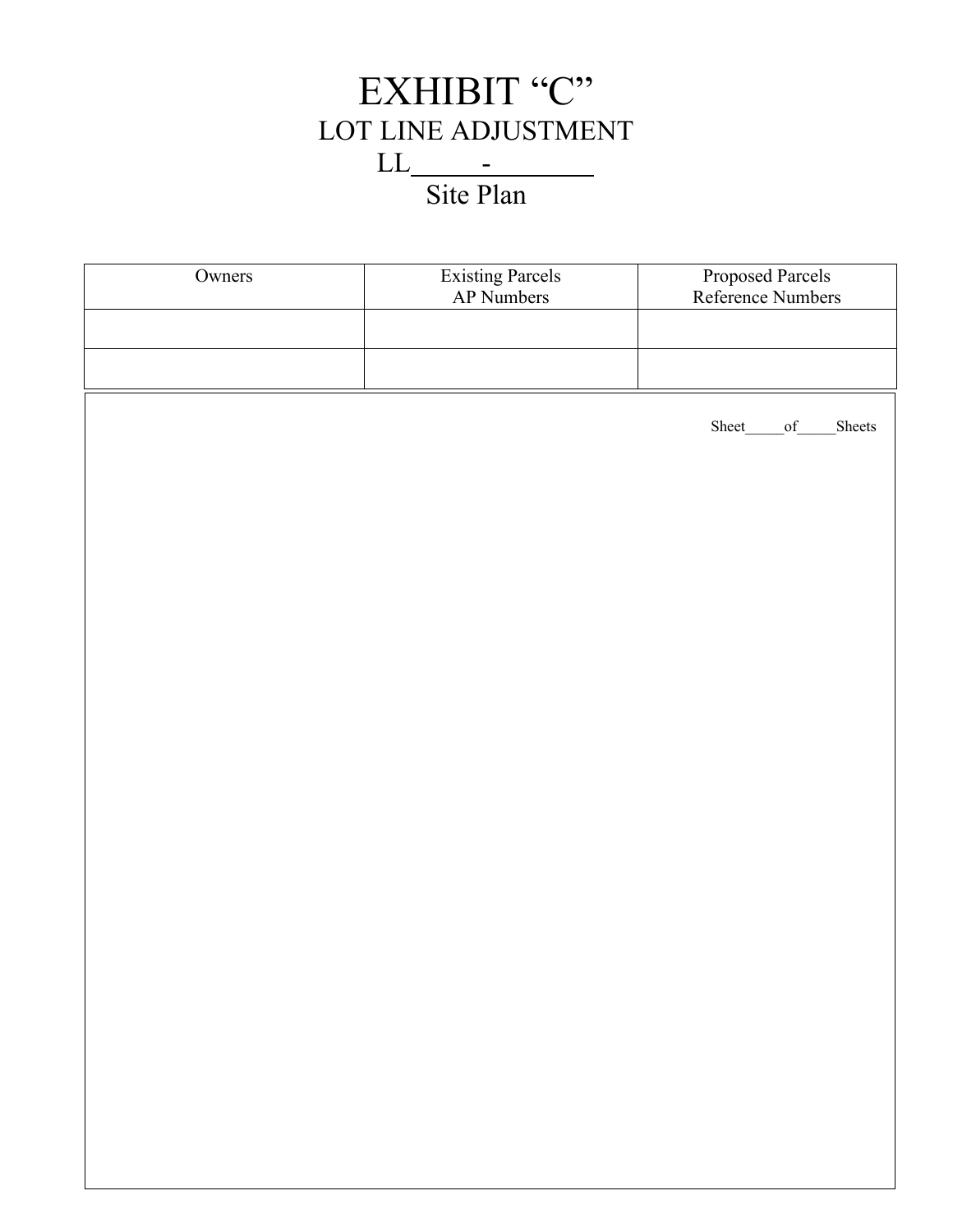

| Owners | Existing Parcels<br>AP Numbers | Proposed Parcels<br>Reference Numbers |
|--------|--------------------------------|---------------------------------------|
|        |                                |                                       |
|        |                                |                                       |
|        |                                | Sheet_<br>Sheets<br>of                |
|        |                                |                                       |
|        |                                |                                       |
|        |                                |                                       |
|        |                                |                                       |
|        |                                |                                       |
|        |                                |                                       |
|        |                                |                                       |
|        |                                |                                       |
|        |                                |                                       |
|        |                                |                                       |
|        |                                |                                       |
|        |                                |                                       |
|        |                                |                                       |
|        |                                |                                       |
|        |                                |                                       |
|        |                                |                                       |
|        |                                |                                       |
|        |                                |                                       |
|        |                                |                                       |
|        |                                |                                       |